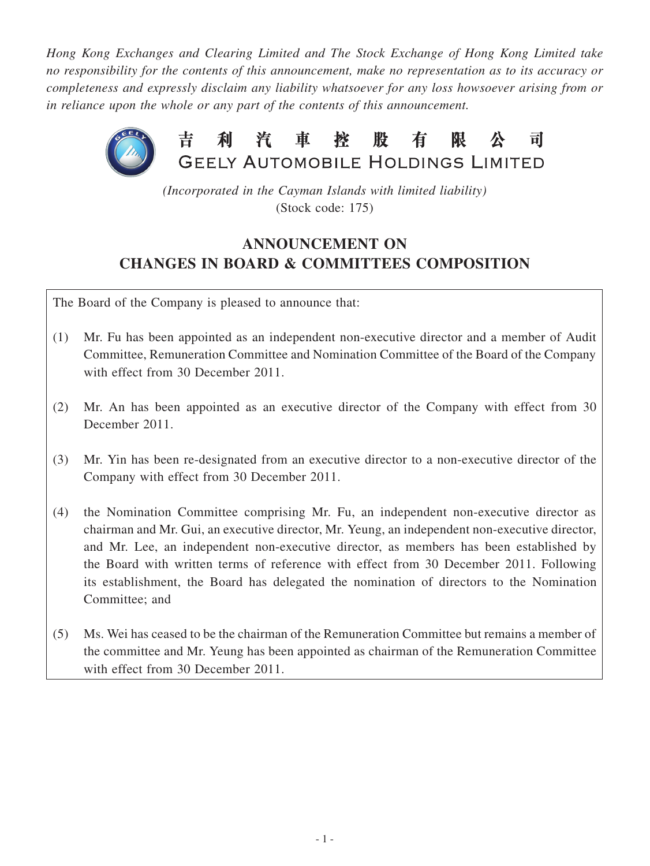*Hong Kong Exchanges and Clearing Limited and The Stock Exchange of Hong Kong Limited take no responsibility for the contents of this announcement, make no representation as to its accuracy or completeness and expressly disclaim any liability whatsoever for any loss howsoever arising from or in reliance upon the whole or any part of the contents of this announcement.*



*(Incorporated in the Cayman Islands with limited liability)* (Stock code: 175)

# **ANNOUNCEMENT ON CHANGES IN BOARD & COMMITTEES COMPOSITION**

The Board of the Company is pleased to announce that:

- (1) Mr. Fu has been appointed as an independent non-executive director and a member of Audit Committee, Remuneration Committee and Nomination Committee of the Board of the Company with effect from 30 December 2011.
- (2) Mr. An has been appointed as an executive director of the Company with effect from 30 December 2011.
- (3) Mr. Yin has been re-designated from an executive director to a non-executive director of the Company with effect from 30 December 2011.
- (4) the Nomination Committee comprising Mr. Fu, an independent non-executive director as chairman and Mr. Gui, an executive director, Mr. Yeung, an independent non-executive director, and Mr. Lee, an independent non-executive director, as members has been established by the Board with written terms of reference with effect from 30 December 2011. Following its establishment, the Board has delegated the nomination of directors to the Nomination Committee; and
- (5) Ms. Wei has ceased to be the chairman of the Remuneration Committee but remains a member of the committee and Mr. Yeung has been appointed as chairman of the Remuneration Committee with effect from 30 December 2011.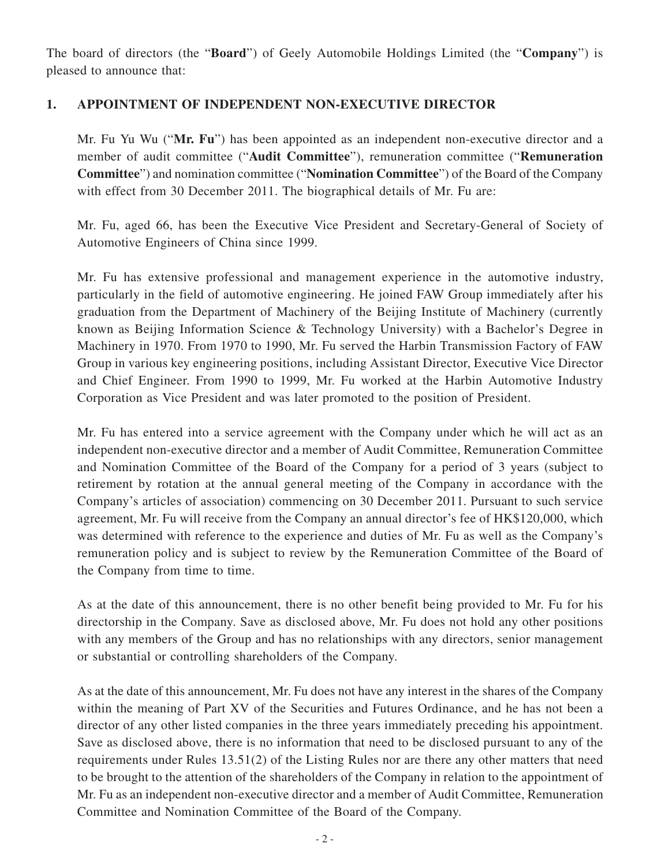The board of directors (the "**Board**") of Geely Automobile Holdings Limited (the "**Company**") is pleased to announce that:

#### **1. APPOINTMENT OF INDEPENDENT NON-EXECUTIVE DIRECTOR**

Mr. Fu Yu Wu ("**Mr. Fu**") has been appointed as an independent non-executive director and a member of audit committee ("**Audit Committee**"), remuneration committee ("**Remuneration Committee**") and nomination committee ("**Nomination Committee**") of the Board of the Company with effect from 30 December 2011. The biographical details of Mr. Fu are:

Mr. Fu, aged 66, has been the Executive Vice President and Secretary-General of Society of Automotive Engineers of China since 1999.

Mr. Fu has extensive professional and management experience in the automotive industry, particularly in the field of automotive engineering. He joined FAW Group immediately after his graduation from the Department of Machinery of the Beijing Institute of Machinery (currently known as Beijing Information Science & Technology University) with a Bachelor's Degree in Machinery in 1970. From 1970 to 1990, Mr. Fu served the Harbin Transmission Factory of FAW Group in various key engineering positions, including Assistant Director, Executive Vice Director and Chief Engineer. From 1990 to 1999, Mr. Fu worked at the Harbin Automotive Industry Corporation as Vice President and was later promoted to the position of President.

Mr. Fu has entered into a service agreement with the Company under which he will act as an independent non-executive director and a member of Audit Committee, Remuneration Committee and Nomination Committee of the Board of the Company for a period of 3 years (subject to retirement by rotation at the annual general meeting of the Company in accordance with the Company's articles of association) commencing on 30 December 2011. Pursuant to such service agreement, Mr. Fu will receive from the Company an annual director's fee of HK\$120,000, which was determined with reference to the experience and duties of Mr. Fu as well as the Company's remuneration policy and is subject to review by the Remuneration Committee of the Board of the Company from time to time.

As at the date of this announcement, there is no other benefit being provided to Mr. Fu for his directorship in the Company. Save as disclosed above, Mr. Fu does not hold any other positions with any members of the Group and has no relationships with any directors, senior management or substantial or controlling shareholders of the Company.

As at the date of this announcement, Mr. Fu does not have any interest in the shares of the Company within the meaning of Part XV of the Securities and Futures Ordinance, and he has not been a director of any other listed companies in the three years immediately preceding his appointment. Save as disclosed above, there is no information that need to be disclosed pursuant to any of the requirements under Rules 13.51(2) of the Listing Rules nor are there any other matters that need to be brought to the attention of the shareholders of the Company in relation to the appointment of Mr. Fu as an independent non-executive director and a member of Audit Committee, Remuneration Committee and Nomination Committee of the Board of the Company.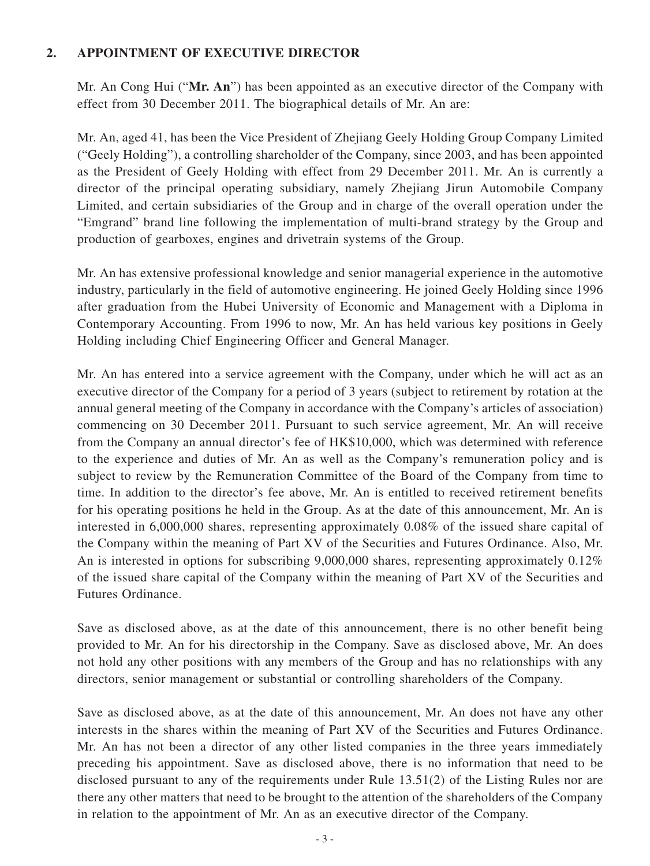#### **2. APPOINTMENT OF EXECUTIVE DIRECTOR**

Mr. An Cong Hui ("**Mr. An**") has been appointed as an executive director of the Company with effect from 30 December 2011. The biographical details of Mr. An are:

Mr. An, aged 41, has been the Vice President of Zhejiang Geely Holding Group Company Limited ("Geely Holding"), a controlling shareholder of the Company, since 2003, and has been appointed as the President of Geely Holding with effect from 29 December 2011. Mr. An is currently a director of the principal operating subsidiary, namely Zhejiang Jirun Automobile Company Limited, and certain subsidiaries of the Group and in charge of the overall operation under the "Emgrand" brand line following the implementation of multi-brand strategy by the Group and production of gearboxes, engines and drivetrain systems of the Group.

Mr. An has extensive professional knowledge and senior managerial experience in the automotive industry, particularly in the field of automotive engineering. He joined Geely Holding since 1996 after graduation from the Hubei University of Economic and Management with a Diploma in Contemporary Accounting. From 1996 to now, Mr. An has held various key positions in Geely Holding including Chief Engineering Officer and General Manager.

Mr. An has entered into a service agreement with the Company, under which he will act as an executive director of the Company for a period of 3 years (subject to retirement by rotation at the annual general meeting of the Company in accordance with the Company's articles of association) commencing on 30 December 2011. Pursuant to such service agreement, Mr. An will receive from the Company an annual director's fee of HK\$10,000, which was determined with reference to the experience and duties of Mr. An as well as the Company's remuneration policy and is subject to review by the Remuneration Committee of the Board of the Company from time to time. In addition to the director's fee above, Mr. An is entitled to received retirement benefits for his operating positions he held in the Group. As at the date of this announcement, Mr. An is interested in 6,000,000 shares, representing approximately 0.08% of the issued share capital of the Company within the meaning of Part XV of the Securities and Futures Ordinance. Also, Mr. An is interested in options for subscribing 9,000,000 shares, representing approximately 0.12% of the issued share capital of the Company within the meaning of Part XV of the Securities and Futures Ordinance.

Save as disclosed above, as at the date of this announcement, there is no other benefit being provided to Mr. An for his directorship in the Company. Save as disclosed above, Mr. An does not hold any other positions with any members of the Group and has no relationships with any directors, senior management or substantial or controlling shareholders of the Company.

Save as disclosed above, as at the date of this announcement, Mr. An does not have any other interests in the shares within the meaning of Part XV of the Securities and Futures Ordinance. Mr. An has not been a director of any other listed companies in the three years immediately preceding his appointment. Save as disclosed above, there is no information that need to be disclosed pursuant to any of the requirements under Rule 13.51(2) of the Listing Rules nor are there any other matters that need to be brought to the attention of the shareholders of the Company in relation to the appointment of Mr. An as an executive director of the Company.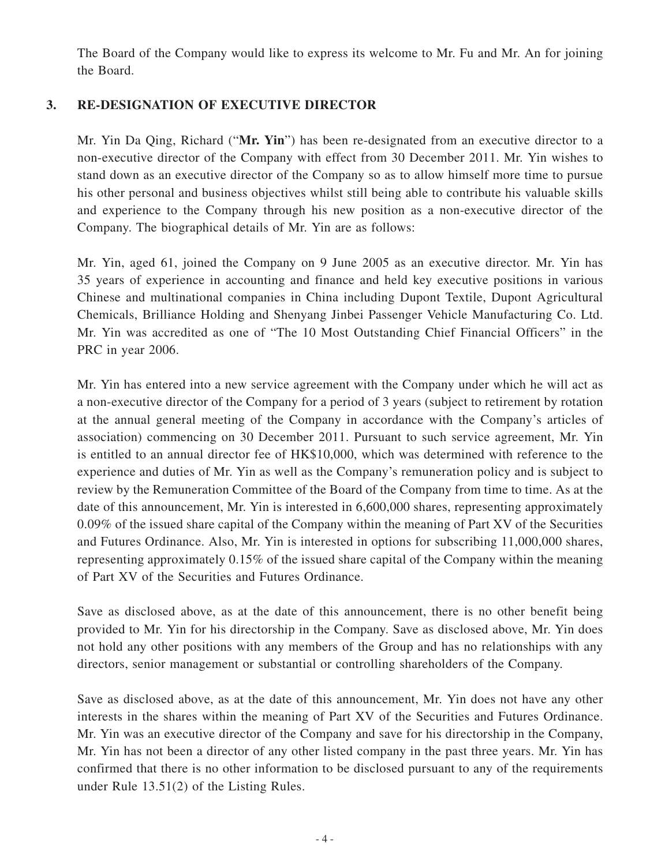The Board of the Company would like to express its welcome to Mr. Fu and Mr. An for joining the Board.

#### **3. RE-DESIGNATION OF EXECUTIVE DIRECTOR**

Mr. Yin Da Qing, Richard ("**Mr. Yin**") has been re-designated from an executive director to a non-executive director of the Company with effect from 30 December 2011. Mr. Yin wishes to stand down as an executive director of the Company so as to allow himself more time to pursue his other personal and business objectives whilst still being able to contribute his valuable skills and experience to the Company through his new position as a non-executive director of the Company. The biographical details of Mr. Yin are as follows:

Mr. Yin, aged 61, joined the Company on 9 June 2005 as an executive director. Mr. Yin has 35 years of experience in accounting and finance and held key executive positions in various Chinese and multinational companies in China including Dupont Textile, Dupont Agricultural Chemicals, Brilliance Holding and Shenyang Jinbei Passenger Vehicle Manufacturing Co. Ltd. Mr. Yin was accredited as one of "The 10 Most Outstanding Chief Financial Officers" in the PRC in year 2006.

Mr. Yin has entered into a new service agreement with the Company under which he will act as a non-executive director of the Company for a period of 3 years (subject to retirement by rotation at the annual general meeting of the Company in accordance with the Company's articles of association) commencing on 30 December 2011. Pursuant to such service agreement, Mr. Yin is entitled to an annual director fee of HK\$10,000, which was determined with reference to the experience and duties of Mr. Yin as well as the Company's remuneration policy and is subject to review by the Remuneration Committee of the Board of the Company from time to time. As at the date of this announcement, Mr. Yin is interested in 6,600,000 shares, representing approximately 0.09% of the issued share capital of the Company within the meaning of Part XV of the Securities and Futures Ordinance. Also, Mr. Yin is interested in options for subscribing 11,000,000 shares, representing approximately 0.15% of the issued share capital of the Company within the meaning of Part XV of the Securities and Futures Ordinance.

Save as disclosed above, as at the date of this announcement, there is no other benefit being provided to Mr. Yin for his directorship in the Company. Save as disclosed above, Mr. Yin does not hold any other positions with any members of the Group and has no relationships with any directors, senior management or substantial or controlling shareholders of the Company.

Save as disclosed above, as at the date of this announcement, Mr. Yin does not have any other interests in the shares within the meaning of Part XV of the Securities and Futures Ordinance. Mr. Yin was an executive director of the Company and save for his directorship in the Company, Mr. Yin has not been a director of any other listed company in the past three years. Mr. Yin has confirmed that there is no other information to be disclosed pursuant to any of the requirements under Rule 13.51(2) of the Listing Rules.